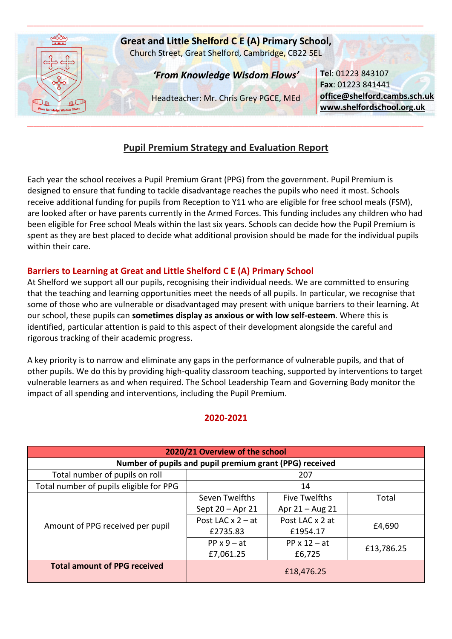

# **Pupil Premium Strategy and Evaluation Report**

Each year the school receives a Pupil Premium Grant (PPG) from the government. Pupil Premium is designed to ensure that funding to tackle disadvantage reaches the pupils who need it most. Schools receive additional funding for pupils from Reception to Y11 who are eligible for free school meals (FSM), are looked after or have parents currently in the Armed Forces. This funding includes any children who had been eligible for Free school Meals within the last six years. Schools can decide how the Pupil Premium is spent as they are best placed to decide what additional provision should be made for the individual pupils within their care.

# **Barriers to Learning at Great and Little Shelford C E (A) Primary School**

At Shelford we support all our pupils, recognising their individual needs. We are committed to ensuring that the teaching and learning opportunities meet the needs of all pupils. In particular, we recognise that some of those who are vulnerable or disadvantaged may present with unique barriers to their learning. At our school, these pupils can **sometimes display as anxious or with low self-esteem**. Where this is identified, particular attention is paid to this aspect of their development alongside the careful and rigorous tracking of their academic progress.

A key priority is to narrow and eliminate any gaps in the performance of vulnerable pupils, and that of other pupils. We do this by providing high-quality classroom teaching, supported by interventions to target vulnerable learners as and when required. The School Leadership Team and Governing Body monitor the impact of all spending and interventions, including the Pupil Premium.

## **2020-2021**

| 2020/21 Overview of the school                          |                     |                      |            |  |  |
|---------------------------------------------------------|---------------------|----------------------|------------|--|--|
| Number of pupils and pupil premium grant (PPG) received |                     |                      |            |  |  |
| Total number of pupils on roll<br>207                   |                     |                      |            |  |  |
| Total number of pupils eligible for PPG                 | 14                  |                      |            |  |  |
|                                                         | Seven Twelfths      | <b>Five Twelfths</b> | Total      |  |  |
| Amount of PPG received per pupil                        | Sept 20 - Apr 21    | Apr $21 - Aug 21$    |            |  |  |
|                                                         | Post LAC $x$ 2 – at | Post LAC x 2 at      |            |  |  |
|                                                         | £2735.83            | £1954.17             | £4,690     |  |  |
|                                                         | $PP \times 9 - at$  | PP $x 12 - at$       |            |  |  |
|                                                         | £7,061.25           | £6,725               | £13,786.25 |  |  |
| <b>Total amount of PPG received</b>                     | £18,476.25          |                      |            |  |  |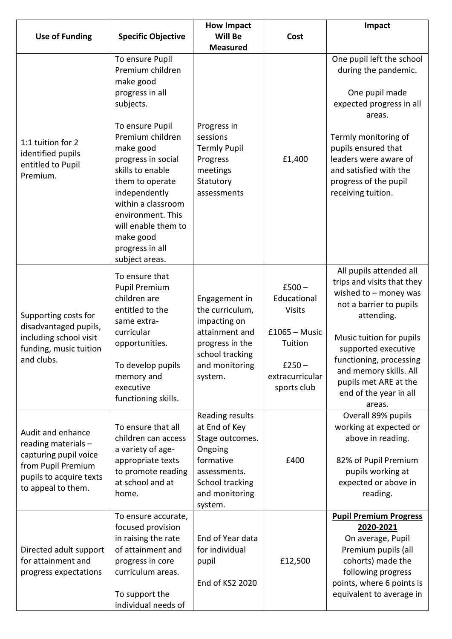|                                                                                                                                          |                                                                                                                                                                                                                                                                                                                      | <b>How Impact</b>                                                                                                                                  |                                                                                                                      | Impact                                                                                                                                                                                                                                                                                         |
|------------------------------------------------------------------------------------------------------------------------------------------|----------------------------------------------------------------------------------------------------------------------------------------------------------------------------------------------------------------------------------------------------------------------------------------------------------------------|----------------------------------------------------------------------------------------------------------------------------------------------------|----------------------------------------------------------------------------------------------------------------------|------------------------------------------------------------------------------------------------------------------------------------------------------------------------------------------------------------------------------------------------------------------------------------------------|
| <b>Use of Funding</b>                                                                                                                    | <b>Specific Objective</b>                                                                                                                                                                                                                                                                                            | Will Be                                                                                                                                            | Cost                                                                                                                 |                                                                                                                                                                                                                                                                                                |
| 1:1 tuition for 2<br>identified pupils<br>entitled to Pupil<br>Premium.                                                                  | To ensure Pupil<br>Premium children<br>make good<br>progress in all<br>subjects.<br>To ensure Pupil<br>Premium children<br>make good<br>progress in social<br>skills to enable<br>them to operate<br>independently<br>within a classroom<br>environment. This<br>will enable them to<br>make good<br>progress in all | <b>Measured</b><br>Progress in<br>sessions<br><b>Termly Pupil</b><br>Progress<br>meetings<br>Statutory<br>assessments                              | £1,400                                                                                                               | One pupil left the school<br>during the pandemic.<br>One pupil made<br>expected progress in all<br>areas.<br>Termly monitoring of<br>pupils ensured that<br>leaders were aware of<br>and satisfied with the<br>progress of the pupil<br>receiving tuition.                                     |
| Supporting costs for<br>disadvantaged pupils,<br>including school visit<br>funding, music tuition<br>and clubs.                          | subject areas.<br>To ensure that<br><b>Pupil Premium</b><br>children are<br>entitled to the<br>same extra-<br>curricular<br>opportunities.<br>To develop pupils<br>memory and<br>executive<br>functioning skills.                                                                                                    | Engagement in<br>the curriculum,<br>impacting on<br>attainment and<br>progress in the<br>school tracking<br>and monitoring<br>system.              | $£500 -$<br>Educational<br><b>Visits</b><br>$£1065 - Music$<br>Tuition<br>$£250 -$<br>extracurricular<br>sports club | All pupils attended all<br>trips and visits that they<br>wished to $-$ money was<br>not a barrier to pupils<br>attending.<br>Music tuition for pupils<br>supported executive<br>functioning, processing<br>and memory skills. All<br>pupils met ARE at the<br>end of the year in all<br>areas. |
| Audit and enhance<br>reading materials -<br>capturing pupil voice<br>from Pupil Premium<br>pupils to acquire texts<br>to appeal to them. | To ensure that all<br>children can access<br>a variety of age-<br>appropriate texts<br>to promote reading<br>at school and at<br>home.                                                                                                                                                                               | <b>Reading results</b><br>at End of Key<br>Stage outcomes.<br>Ongoing<br>formative<br>assessments.<br>School tracking<br>and monitoring<br>system. | £400                                                                                                                 | Overall 89% pupils<br>working at expected or<br>above in reading.<br>82% of Pupil Premium<br>pupils working at<br>expected or above in<br>reading.                                                                                                                                             |
| Directed adult support<br>for attainment and<br>progress expectations                                                                    | To ensure accurate,<br>focused provision<br>in raising the rate<br>of attainment and<br>progress in core<br>curriculum areas.<br>To support the<br>individual needs of                                                                                                                                               | End of Year data<br>for individual<br>pupil<br>End of KS2 2020                                                                                     | £12,500                                                                                                              | <b>Pupil Premium Progress</b><br>2020-2021<br>On average, Pupil<br>Premium pupils (all<br>cohorts) made the<br>following progress<br>points, where 6 points is<br>equivalent to average in                                                                                                     |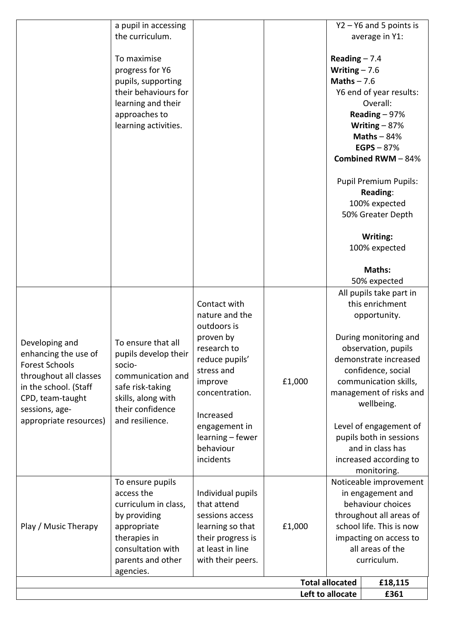|                                        |                                            |                               |        | Left to allocate       | £361                                        |
|----------------------------------------|--------------------------------------------|-------------------------------|--------|------------------------|---------------------------------------------|
|                                        |                                            |                               |        | <b>Total allocated</b> | £18,115                                     |
|                                        | agencies.                                  |                               |        |                        |                                             |
|                                        | parents and other                          | with their peers.             |        |                        | curriculum.                                 |
|                                        | consultation with                          | at least in line              |        |                        | all areas of the                            |
|                                        | therapies in                               | their progress is             |        |                        | impacting on access to                      |
| Play / Music Therapy                   | appropriate                                | learning so that              | £1,000 |                        | school life. This is now                    |
|                                        | by providing                               | sessions access               |        |                        | throughout all areas of                     |
|                                        | curriculum in class,                       | that attend                   |        |                        | behaviour choices                           |
|                                        | access the                                 | Individual pupils             |        |                        | in engagement and                           |
|                                        | To ensure pupils                           |                               |        |                        | Noticeable improvement                      |
|                                        |                                            |                               |        |                        | monitoring.                                 |
|                                        |                                            | incidents                     |        |                        | increased according to                      |
|                                        |                                            | learning - fewer<br>behaviour |        |                        | pupils both in sessions<br>and in class has |
|                                        |                                            | engagement in                 |        |                        | Level of engagement of                      |
| appropriate resources)                 | and resilience.                            | Increased                     |        |                        |                                             |
| sessions, age-                         | their confidence                           |                               |        |                        | wellbeing.                                  |
| CPD, team-taught                       | skills, along with                         | concentration.                |        |                        | management of risks and                     |
| in the school. (Staff                  | safe risk-taking                           | improve                       | £1,000 |                        | communication skills,                       |
| throughout all classes                 | communication and                          | stress and                    |        |                        | confidence, social                          |
| <b>Forest Schools</b>                  | socio-                                     | reduce pupils'                |        |                        | demonstrate increased                       |
| Developing and<br>enhancing the use of | pupils develop their                       | research to                   |        |                        | observation, pupils                         |
|                                        | To ensure that all                         | proven by                     |        |                        | During monitoring and                       |
|                                        |                                            | outdoors is                   |        |                        |                                             |
|                                        |                                            | nature and the                |        |                        | opportunity.                                |
|                                        |                                            | Contact with                  |        |                        | this enrichment                             |
|                                        |                                            |                               |        |                        | All pupils take part in                     |
|                                        |                                            |                               |        |                        | 50% expected                                |
|                                        |                                            |                               |        |                        | Maths:                                      |
|                                        |                                            |                               |        |                        | 100% expected                               |
|                                        |                                            |                               |        |                        | Writing:                                    |
|                                        |                                            |                               |        |                        |                                             |
|                                        |                                            |                               |        |                        | 50% Greater Depth                           |
|                                        |                                            |                               |        |                        | 100% expected                               |
|                                        |                                            |                               |        |                        | Reading:                                    |
|                                        |                                            |                               |        |                        | <b>Pupil Premium Pupils:</b>                |
|                                        |                                            |                               |        |                        |                                             |
|                                        |                                            |                               |        |                        | <b>Combined RWM-84%</b>                     |
|                                        |                                            |                               |        |                        | EGPS $-87%$                                 |
|                                        |                                            |                               |        |                        | Maths $-84%$                                |
|                                        | learning activities.                       |                               |        |                        | Writing $-87%$                              |
|                                        | approaches to                              |                               |        |                        | Reading $-97%$                              |
|                                        | learning and their                         |                               |        |                        | Y6 end of year results:<br>Overall:         |
|                                        | pupils, supporting<br>their behaviours for |                               |        | Maths $-7.6$           |                                             |
|                                        | progress for Y6                            |                               |        | Writing $-7.6$         |                                             |
|                                        | To maximise                                |                               |        | Reading $-7.4$         |                                             |
|                                        |                                            |                               |        |                        |                                             |
|                                        | the curriculum.                            |                               |        |                        | average in Y1:                              |
|                                        | a pupil in accessing                       |                               |        |                        | $Y2 - Y6$ and 5 points is                   |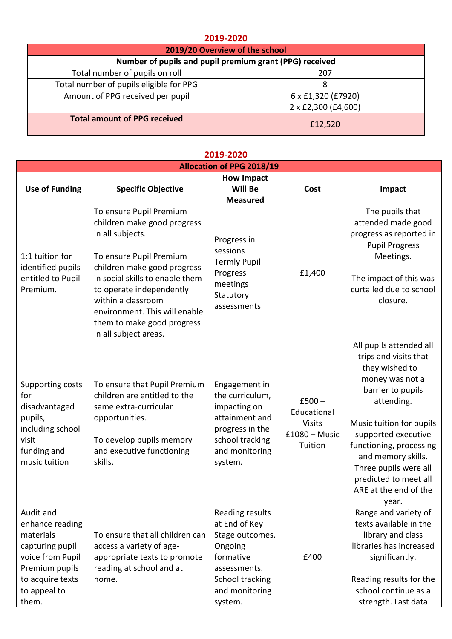### **2019-2020**

| 2019/20 Overview of the school                          |                     |  |  |
|---------------------------------------------------------|---------------------|--|--|
| Number of pupils and pupil premium grant (PPG) received |                     |  |  |
| Total number of pupils on roll                          | 207                 |  |  |
| Total number of pupils eligible for PPG                 | 8                   |  |  |
| Amount of PPG received per pupil                        | 6 x £1,320 (£7920)  |  |  |
|                                                         | 2 x £2,300 (£4,600) |  |  |
| <b>Total amount of PPG received</b>                     | £12,520             |  |  |

#### **Allocation of PPG 2018/19 Use of Funding Specific Objective How Impact Will Be Measured Cost Impact** 1:1 tuition for identified pupils entitled to Pupil Premium. To ensure Pupil Premium children make good progress in all subjects. To ensure Pupil Premium children make good progress in social skills to enable them to operate independently within a classroom environment. This will enable them to make good progress in all subject areas. Progress in sessions Termly Pupil Progress meetings **Statutory** assessments £1,400 The pupils that attended made good progress as reported in Pupil Progress Meetings. The impact of this was curtailed due to school closure. Supporting costs for disadvantaged pupils, including school visit funding and music tuition To ensure that Pupil Premium children are entitled to the same extra-curricular opportunities. To develop pupils memory and executive functioning skills. Engagement in the curriculum, impacting on attainment and progress in the school tracking and monitoring system.  $£500 -$ Educational Visits £1080 – Music Tuition All pupils attended all trips and visits that they wished to – money was not a barrier to pupils attending. Music tuition for pupils supported executive functioning, processing and memory skills. Three pupils were all predicted to meet all ARE at the end of the year. Audit and enhance reading materials – capturing pupil voice from Pupil Premium pupils to acquire texts to appeal to them. To ensure that all children can access a variety of ageappropriate texts to promote reading at school and at home. Reading results at End of Key Stage outcomes. Ongoing formative assessments. School tracking and monitoring system. £400 Range and variety of texts available in the library and class libraries has increased significantly. Reading results for the school continue as a strength. Last data

### **2019-2020**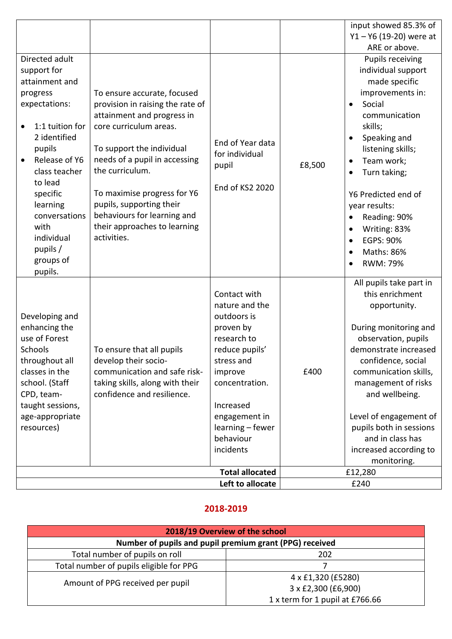|                                                                                                                                                                                                                                                                           |                                                                                                                                                                                                                                                                                                                                                   |                                                                                                                                                                                                                    |        | input showed 85.3% of<br>$Y1 - Y6$ (19-20) were at                                                                                                                                                                                                                                                                                                 |
|---------------------------------------------------------------------------------------------------------------------------------------------------------------------------------------------------------------------------------------------------------------------------|---------------------------------------------------------------------------------------------------------------------------------------------------------------------------------------------------------------------------------------------------------------------------------------------------------------------------------------------------|--------------------------------------------------------------------------------------------------------------------------------------------------------------------------------------------------------------------|--------|----------------------------------------------------------------------------------------------------------------------------------------------------------------------------------------------------------------------------------------------------------------------------------------------------------------------------------------------------|
|                                                                                                                                                                                                                                                                           |                                                                                                                                                                                                                                                                                                                                                   |                                                                                                                                                                                                                    |        | ARE or above.                                                                                                                                                                                                                                                                                                                                      |
| Directed adult<br>support for<br>attainment and<br>progress<br>expectations:<br>1:1 tuition for<br>2 identified<br>pupils<br>Release of Y6<br>class teacher<br>to lead<br>specific<br>learning<br>conversations<br>with<br>individual<br>pupils /<br>groups of<br>pupils. | To ensure accurate, focused<br>provision in raising the rate of<br>attainment and progress in<br>core curriculum areas.<br>To support the individual<br>needs of a pupil in accessing<br>the curriculum.<br>To maximise progress for Y6<br>pupils, supporting their<br>behaviours for learning and<br>their approaches to learning<br>activities. | End of Year data<br>for individual<br>pupil<br>End of KS2 2020                                                                                                                                                     | £8,500 | <b>Pupils receiving</b><br>individual support<br>made specific<br>improvements in:<br>Social<br>$\bullet$<br>communication<br>skills;<br>Speaking and<br>listening skills;<br>Team work;<br>Turn taking;<br>Y6 Predicted end of<br>year results:<br>Reading: 90%<br>Writing: 83%<br><b>EGPS: 90%</b><br>$\bullet$<br>Maths: 86%<br><b>RWM: 79%</b> |
| Developing and<br>enhancing the<br>use of Forest<br>Schools<br>throughout all<br>classes in the<br>school. (Staff<br>CPD, team-<br>taught sessions,<br>age-appropriate<br>resources)                                                                                      | To ensure that all pupils<br>develop their socio-<br>communication and safe risk-<br>taking skills, along with their<br>confidence and resilience.                                                                                                                                                                                                | Contact with<br>nature and the<br>outdoors is<br>proven by<br>research to<br>reduce pupils'<br>stress and<br>improve<br>concentration.<br>Increased<br>engagement in<br>learning - fewer<br>behaviour<br>incidents | £400   | All pupils take part in<br>this enrichment<br>opportunity.<br>During monitoring and<br>observation, pupils<br>demonstrate increased<br>confidence, social<br>communication skills,<br>management of risks<br>and wellbeing.<br>Level of engagement of<br>pupils both in sessions<br>and in class has<br>increased according to<br>monitoring.      |
|                                                                                                                                                                                                                                                                           |                                                                                                                                                                                                                                                                                                                                                   | <b>Total allocated</b>                                                                                                                                                                                             |        | £12,280                                                                                                                                                                                                                                                                                                                                            |
|                                                                                                                                                                                                                                                                           |                                                                                                                                                                                                                                                                                                                                                   | Left to allocate                                                                                                                                                                                                   |        | £240                                                                                                                                                                                                                                                                                                                                               |

## **2018-2019**

| 2018/19 Overview of the school                          |                                 |  |  |
|---------------------------------------------------------|---------------------------------|--|--|
| Number of pupils and pupil premium grant (PPG) received |                                 |  |  |
| Total number of pupils on roll                          | 202                             |  |  |
| Total number of pupils eligible for PPG                 |                                 |  |  |
|                                                         | 4 x £1,320 (£5280)              |  |  |
| Amount of PPG received per pupil                        | 3 x £2,300 (£6,900)             |  |  |
|                                                         | 1 x term for 1 pupil at £766.66 |  |  |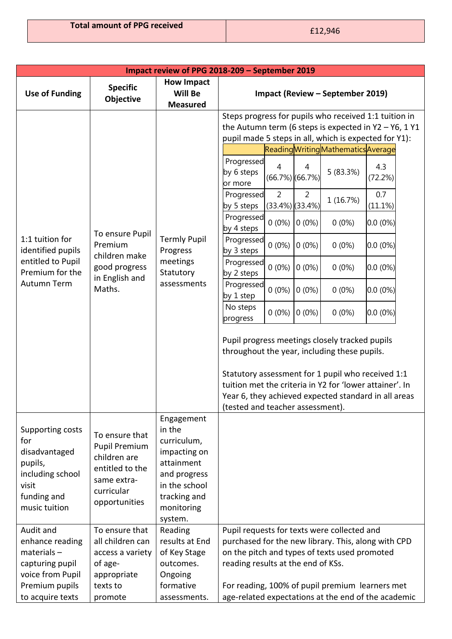| Impact review of PPG 2018-209 - September 2019                                                                   |                                                                                                                         |                                                                                                                                             |                                                                                                                                                                                                                     |  |  |  |
|------------------------------------------------------------------------------------------------------------------|-------------------------------------------------------------------------------------------------------------------------|---------------------------------------------------------------------------------------------------------------------------------------------|---------------------------------------------------------------------------------------------------------------------------------------------------------------------------------------------------------------------|--|--|--|
| <b>Use of Funding</b>                                                                                            | <b>Specific</b><br>Objective                                                                                            | <b>How Impact</b><br>Will Be<br><b>Measured</b>                                                                                             | Impact (Review - September 2019)                                                                                                                                                                                    |  |  |  |
|                                                                                                                  |                                                                                                                         |                                                                                                                                             | Steps progress for pupils who received 1:1 tuition in<br>the Autumn term (6 steps is expected in $Y2 - Y6$ , 1 $Y1$<br>pupil made 5 steps in all, which is expected for Y1):<br>Reading Writing Mathematics Average |  |  |  |
|                                                                                                                  |                                                                                                                         |                                                                                                                                             | Progressed<br>4.3<br>4<br>4<br>5 (83.3%)<br>by 6 steps<br>(66.7%) (66.7%)<br>(72.2%)<br>or more                                                                                                                     |  |  |  |
|                                                                                                                  |                                                                                                                         |                                                                                                                                             | $\overline{2}$<br>$\overline{2}$<br>0.7<br>Progressed<br>1 (16.7%)<br>by 5 steps<br>$(33.4\%)$ $(33.4\%)$<br>(11.1%)                                                                                                |  |  |  |
|                                                                                                                  | To ensure Pupil                                                                                                         |                                                                                                                                             | Progressed<br>$0(0\%)$<br>$0(0\%)$<br>$0(0\%)$<br>$0.0(0\%)$<br>by 4 steps                                                                                                                                          |  |  |  |
| 1:1 tuition for<br>identified pupils                                                                             | Premium<br>children make                                                                                                | <b>Termly Pupil</b><br>Progress<br>meetings<br>Statutory<br>assessments                                                                     | Progressed<br>$0(0\%)$<br>$0.0(0\%)$<br>$0(0\%)$<br>$0(0\%)$<br>by 3 steps                                                                                                                                          |  |  |  |
| entitled to Pupil<br>Premium for the<br>Autumn Term                                                              | good progress<br>in English and                                                                                         |                                                                                                                                             | Progressed<br>$0(0\%)$<br>$0(0\%)$<br>$0(0\%)$<br>$0.0(0\%)$<br>by 2 steps                                                                                                                                          |  |  |  |
|                                                                                                                  | Maths.                                                                                                                  |                                                                                                                                             | Progressed<br>$0(0\%)$<br>$0(0\%)$<br>$0.0(0\%)$<br>$0(0\%)$<br>by 1 step                                                                                                                                           |  |  |  |
|                                                                                                                  |                                                                                                                         |                                                                                                                                             | No steps<br>$0(0\%)$<br>$0(0\%)$<br>$0.0(0\%)$<br>$0(0\%)$<br>progress                                                                                                                                              |  |  |  |
|                                                                                                                  |                                                                                                                         |                                                                                                                                             | Pupil progress meetings closely tracked pupils<br>throughout the year, including these pupils.                                                                                                                      |  |  |  |
|                                                                                                                  |                                                                                                                         |                                                                                                                                             | Statutory assessment for 1 pupil who received 1:1<br>tuition met the criteria in Y2 for 'lower attainer'. In<br>Year 6, they achieved expected standard in all areas<br>(tested and teacher assessment).            |  |  |  |
| Supporting costs<br>for<br>disadvantaged<br>pupils,<br>including school<br>visit<br>funding and<br>music tuition | To ensure that<br><b>Pupil Premium</b><br>children are<br>entitled to the<br>same extra-<br>curricular<br>opportunities | Engagement<br>in the<br>curriculum,<br>impacting on<br>attainment<br>and progress<br>in the school<br>tracking and<br>monitoring<br>system. |                                                                                                                                                                                                                     |  |  |  |
| Audit and                                                                                                        | To ensure that                                                                                                          | Reading                                                                                                                                     | Pupil requests for texts were collected and                                                                                                                                                                         |  |  |  |
| enhance reading                                                                                                  | all children can                                                                                                        | results at End                                                                                                                              | purchased for the new library. This, along with CPD                                                                                                                                                                 |  |  |  |
| $materials -$                                                                                                    | access a variety                                                                                                        | of Key Stage                                                                                                                                | on the pitch and types of texts used promoted                                                                                                                                                                       |  |  |  |
| capturing pupil<br>voice from Pupil                                                                              | of age-<br>appropriate                                                                                                  | outcomes.<br>Ongoing                                                                                                                        | reading results at the end of KSs.                                                                                                                                                                                  |  |  |  |
| Premium pupils                                                                                                   | texts to                                                                                                                | formative                                                                                                                                   | For reading, 100% of pupil premium learners met                                                                                                                                                                     |  |  |  |
| to acquire texts                                                                                                 | promote                                                                                                                 | assessments.                                                                                                                                | age-related expectations at the end of the academic                                                                                                                                                                 |  |  |  |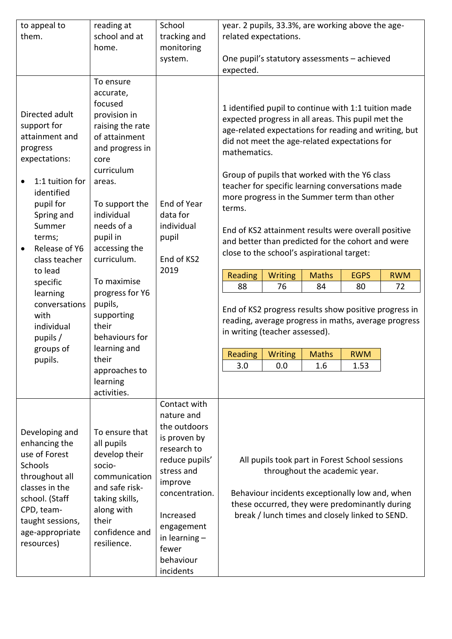| to appeal to<br>them.                                                                                                                                                                                                                                                                                                     | reading at<br>school and at<br>home.                                                                                                                                                                                                                                                                                                                                                           | School<br>tracking and<br>monitoring<br>system.                                                                                                                                                                         | year. 2 pupils, 33.3%, are working above the age-<br>related expectations.<br>One pupil's statutory assessments - achieved<br>expected.                                                                                                                                                                                                                                                                                                                                                                                                                                                                                                                                                                                                                                                                                                                                                                         |
|---------------------------------------------------------------------------------------------------------------------------------------------------------------------------------------------------------------------------------------------------------------------------------------------------------------------------|------------------------------------------------------------------------------------------------------------------------------------------------------------------------------------------------------------------------------------------------------------------------------------------------------------------------------------------------------------------------------------------------|-------------------------------------------------------------------------------------------------------------------------------------------------------------------------------------------------------------------------|-----------------------------------------------------------------------------------------------------------------------------------------------------------------------------------------------------------------------------------------------------------------------------------------------------------------------------------------------------------------------------------------------------------------------------------------------------------------------------------------------------------------------------------------------------------------------------------------------------------------------------------------------------------------------------------------------------------------------------------------------------------------------------------------------------------------------------------------------------------------------------------------------------------------|
| Directed adult<br>support for<br>attainment and<br>progress<br>expectations:<br>1:1 tuition for<br>identified<br>pupil for<br>Spring and<br>Summer<br>terms;<br>Release of Y6<br>$\bullet$<br>class teacher<br>to lead<br>specific<br>learning<br>conversations<br>with<br>individual<br>pupils /<br>groups of<br>pupils. | To ensure<br>accurate,<br>focused<br>provision in<br>raising the rate<br>of attainment<br>and progress in<br>core<br>curriculum<br>areas.<br>To support the<br>individual<br>needs of a<br>pupil in<br>accessing the<br>curriculum.<br>To maximise<br>progress for Y6<br>pupils,<br>supporting<br>their<br>behaviours for<br>learning and<br>their<br>approaches to<br>learning<br>activities. | End of Year<br>data for<br>individual<br>pupil<br>End of KS2<br>2019                                                                                                                                                    | 1 identified pupil to continue with 1:1 tuition made<br>expected progress in all areas. This pupil met the<br>age-related expectations for reading and writing, but<br>did not meet the age-related expectations for<br>mathematics.<br>Group of pupils that worked with the Y6 class<br>teacher for specific learning conversations made<br>more progress in the Summer term than other<br>terms.<br>End of KS2 attainment results were overall positive<br>and better than predicted for the cohort and were<br>close to the school's aspirational target:<br>Reading<br><b>Writing</b><br><b>Maths</b><br><b>EGPS</b><br><b>RWM</b><br>88<br>76<br>84<br>80<br>72<br>End of KS2 progress results show positive progress in<br>reading, average progress in maths, average progress<br>in writing (teacher assessed).<br>Reading<br><b>Writing</b><br><b>Maths</b><br><b>RWM</b><br>3.0<br>0.0<br>1.6<br>1.53 |
| Developing and<br>enhancing the<br>use of Forest<br><b>Schools</b><br>throughout all<br>classes in the<br>school. (Staff<br>CPD, team-<br>taught sessions,<br>age-appropriate<br>resources)                                                                                                                               | To ensure that<br>all pupils<br>develop their<br>socio-<br>communication<br>and safe risk-<br>taking skills,<br>along with<br>their<br>confidence and<br>resilience.                                                                                                                                                                                                                           | Contact with<br>nature and<br>the outdoors<br>is proven by<br>research to<br>reduce pupils'<br>stress and<br>improve<br>concentration.<br>Increased<br>engagement<br>in learning $-$<br>fewer<br>behaviour<br>incidents | All pupils took part in Forest School sessions<br>throughout the academic year.<br>Behaviour incidents exceptionally low and, when<br>these occurred, they were predominantly during<br>break / lunch times and closely linked to SEND.                                                                                                                                                                                                                                                                                                                                                                                                                                                                                                                                                                                                                                                                         |